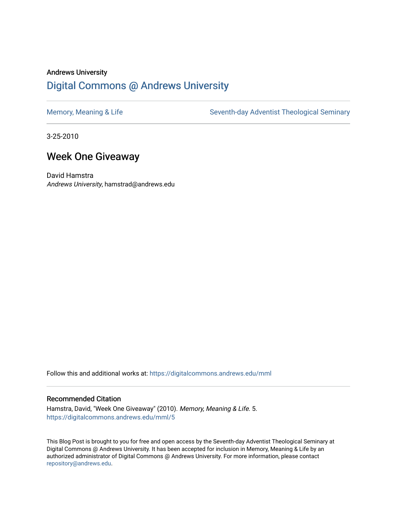## Andrews University [Digital Commons @ Andrews University](https://digitalcommons.andrews.edu/)

[Memory, Meaning & Life](https://digitalcommons.andrews.edu/mml) Seventh-day Adventist Theological Seminary

3-25-2010

## Week One Giveaway

David Hamstra Andrews University, hamstrad@andrews.edu

Follow this and additional works at: [https://digitalcommons.andrews.edu/mml](https://digitalcommons.andrews.edu/mml?utm_source=digitalcommons.andrews.edu%2Fmml%2F5&utm_medium=PDF&utm_campaign=PDFCoverPages) 

#### Recommended Citation

Hamstra, David, "Week One Giveaway" (2010). Memory, Meaning & Life. 5. [https://digitalcommons.andrews.edu/mml/5](https://digitalcommons.andrews.edu/mml/5?utm_source=digitalcommons.andrews.edu%2Fmml%2F5&utm_medium=PDF&utm_campaign=PDFCoverPages) 

This Blog Post is brought to you for free and open access by the Seventh-day Adventist Theological Seminary at Digital Commons @ Andrews University. It has been accepted for inclusion in Memory, Meaning & Life by an authorized administrator of Digital Commons @ Andrews University. For more information, please contact [repository@andrews.edu](mailto:repository@andrews.edu).